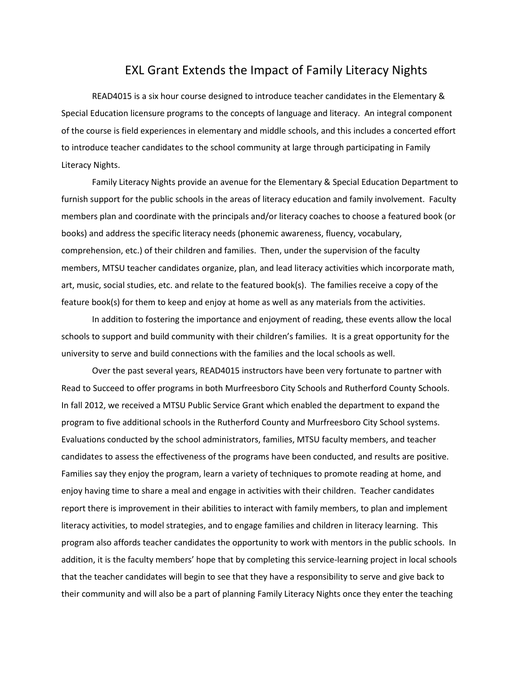## EXL Grant Extends the Impact of Family Literacy Nights

READ4015 is a six hour course designed to introduce teacher candidates in the Elementary & Special Education licensure programs to the concepts of language and literacy. An integral component of the course is field experiences in elementary and middle schools, and this includes a concerted effort to introduce teacher candidates to the school community at large through participating in Family Literacy Nights.

Family Literacy Nights provide an avenue for the Elementary & Special Education Department to furnish support for the public schools in the areas of literacy education and family involvement. Faculty members plan and coordinate with the principals and/or literacy coaches to choose a featured book (or books) and address the specific literacy needs (phonemic awareness, fluency, vocabulary, comprehension, etc.) of their children and families. Then, under the supervision of the faculty members, MTSU teacher candidates organize, plan, and lead literacy activities which incorporate math, art, music, social studies, etc. and relate to the featured book(s). The families receive a copy of the feature book(s) for them to keep and enjoy at home as well as any materials from the activities.

In addition to fostering the importance and enjoyment of reading, these events allow the local schools to support and build community with their children's families. It is a great opportunity for the university to serve and build connections with the families and the local schools as well.

Over the past several years, READ4015 instructors have been very fortunate to partner with Read to Succeed to offer programs in both Murfreesboro City Schools and Rutherford County Schools. In fall 2012, we received a MTSU Public Service Grant which enabled the department to expand the program to five additional schools in the Rutherford County and Murfreesboro City School systems. Evaluations conducted by the school administrators, families, MTSU faculty members, and teacher candidates to assess the effectiveness of the programs have been conducted, and results are positive. Families say they enjoy the program, learn a variety of techniques to promote reading at home, and enjoy having time to share a meal and engage in activities with their children. Teacher candidates report there is improvement in their abilities to interact with family members, to plan and implement literacy activities, to model strategies, and to engage families and children in literacy learning. This program also affords teacher candidates the opportunity to work with mentors in the public schools. In addition, it is the faculty members' hope that by completing this service-learning project in local schools that the teacher candidates will begin to see that they have a responsibility to serve and give back to their community and will also be a part of planning Family Literacy Nights once they enter the teaching